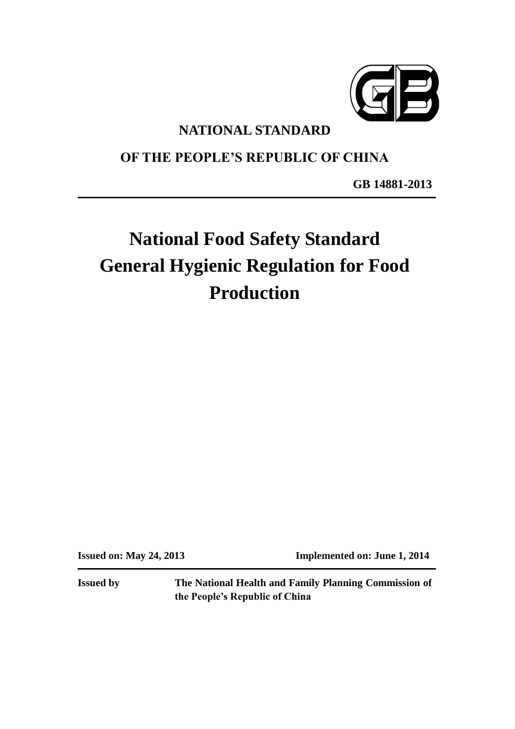

## **NATIONAL STANDARD**

# **OF THE PEOPLE'S REPUBLIC OF CHINA**

**GB 14881-2013**

# **National Food Safety Standard General Hygienic Regulation for Food Production**

**Issued on: May 24, 2013 Implemented on: June 1, 2014**

**Issued by The National Health and Family Planning Commission of the People's Republic of China**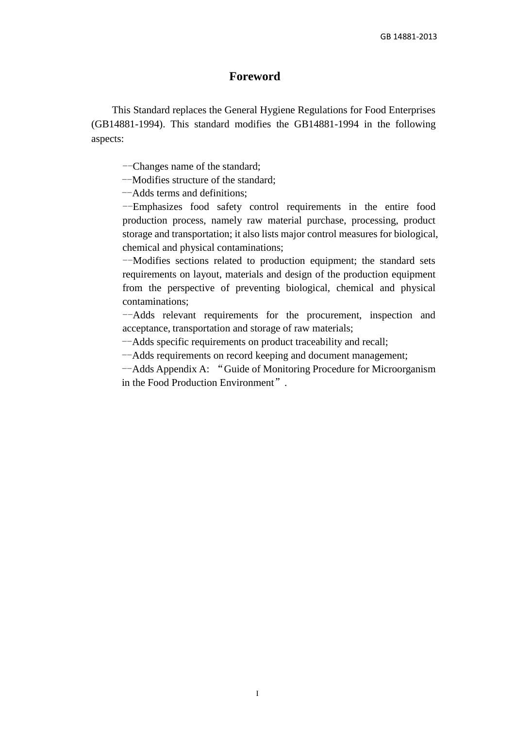## **Foreword**

This Standard replaces the General Hygiene Regulations for Food Enterprises (GB14881-1994). This standard modifies the GB14881-1994 in the following aspects:

--Changes name of the standard;

--Modifies structure of the standard;

--Adds terms and definitions;

--Emphasizes food safety control requirements in the entire food production process, namely raw material purchase, processing, product storage and transportation; it also lists major control measures for biological, chemical and physical contaminations;

--Modifies sections related to production equipment; the standard sets requirements on layout, materials and design of the production equipment from the perspective of preventing biological, chemical and physical contaminations;

--Adds relevant requirements for the procurement, inspection and acceptance, transportation and storage of raw materials;

--Adds specific requirements on product traceability and recall;

--Adds requirements on record keeping and document management;

--Adds Appendix A: "Guide of Monitoring Procedure for Microorganism in the Food Production Environment".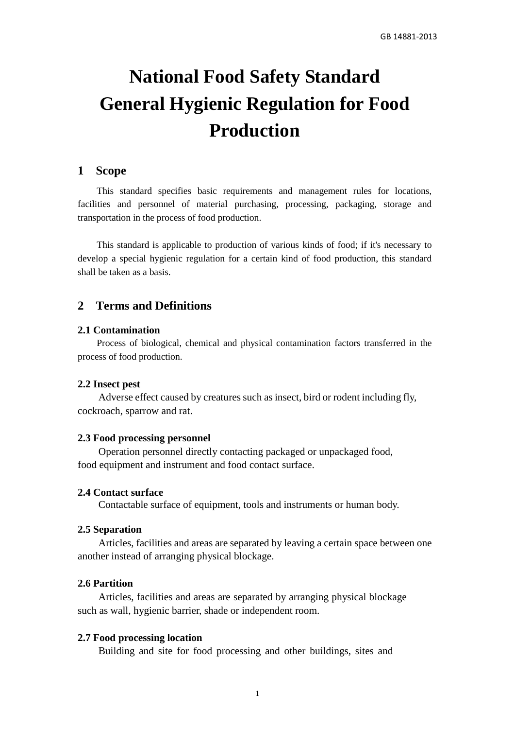# **National Food Safety Standard General Hygienic Regulation for Food Production**

## **1 Scope**

This standard specifies basic requirements and management rules for locations, facilities and personnel of material purchasing, processing, packaging, storage and transportation in the process of food production.

This standard is applicable to production of various kinds of food; if it's necessary to develop a special hygienic regulation for a certain kind of food production, this standard shall be taken as a basis.

## **2 Terms and Definitions**

## **2.1 Contamination**

Process of biological, chemical and physical contamination factors transferred in the process of food production.

#### **2.2 Insect pest**

Adverse effect caused by creatures such as insect, bird or rodent including fly, cockroach, sparrow and rat.

#### **2.3 Food processing personnel**

Operation personnel directly contacting packaged or unpackaged food, food equipment and instrument and food contact surface.

#### **2.4 Contact surface**

Contactable surface of equipment, tools and instruments or human body.

#### **2.5 Separation**

Articles, facilities and areas are separated by leaving a certain space between one another instead of arranging physical blockage.

## **2.6 Partition**

Articles, facilities and areas are separated by arranging physical blockage such as wall, hygienic barrier, shade or independent room.

#### **2.7 Food processing location**

Building and site for food processing and other buildings, sites and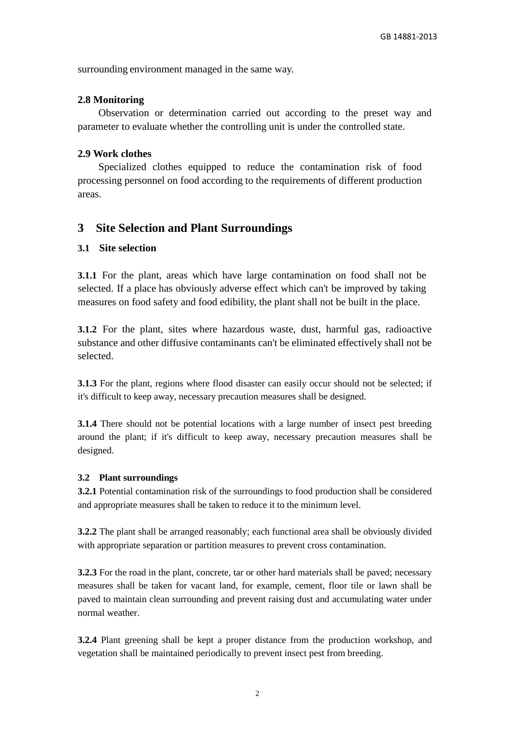surrounding environment managed in the same way.

## **2.8 Monitoring**

Observation or determination carried out according to the preset way and parameter to evaluate whether the controlling unit is under the controlled state.

#### **2.9 Work clothes**

Specialized clothes equipped to reduce the contamination risk of food processing personnel on food according to the requirements of different production areas.

## **3 Site Selection and Plant Surroundings**

## **3.1 Site selection**

**3.1.1** For the plant, areas which have large contamination on food shall not be selected. If a place has obviously adverse effect which can't be improved by taking measures on food safety and food edibility, the plant shall not be built in the place.

**3.1.2** For the plant, sites where hazardous waste, dust, harmful gas, radioactive substance and other diffusive contaminants can't be eliminated effectively shall not be selected.

**3.1.3** For the plant, regions where flood disaster can easily occur should not be selected; if it's difficult to keep away, necessary precaution measures shall be designed.

**3.1.4** There should not be potential locations with a large number of insect pest breeding around the plant; if it's difficult to keep away, necessary precaution measures shall be designed.

#### **3.2 Plant surroundings**

**3.2.1** Potential contamination risk of the surroundings to food production shall be considered and appropriate measures shall be taken to reduce it to the minimum level.

**3.2.2** The plant shall be arranged reasonably; each functional area shall be obviously divided with appropriate separation or partition measures to prevent cross contamination.

**3.2.3** For the road in the plant, concrete, tar or other hard materials shall be paved; necessary measures shall be taken for vacant land, for example, cement, floor tile or lawn shall be paved to maintain clean surrounding and prevent raising dust and accumulating water under normal weather.

**3.2.4** Plant greening shall be kept a proper distance from the production workshop, and vegetation shall be maintained periodically to prevent insect pest from breeding.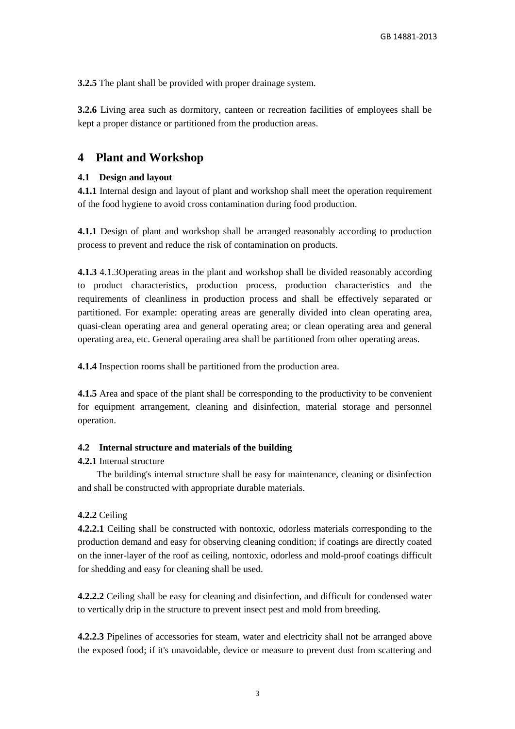**3.2.5** The plant shall be provided with proper drainage system.

**3.2.6** Living area such as dormitory, canteen or recreation facilities of employees shall be kept a proper distance or partitioned from the production areas.

## **4 Plant and Workshop**

#### **4.1 Design and layout**

**4.1.1** Internal design and layout of plant and workshop shall meet the operation requirement of the food hygiene to avoid cross contamination during food production.

**4.1.1** Design of plant and workshop shall be arranged reasonably according to production process to prevent and reduce the risk of contamination on products.

**4.1.3** 4.1.3Operating areas in the plant and workshop shall be divided reasonably according to product characteristics, production process, production characteristics and the requirements of cleanliness in production process and shall be effectively separated or partitioned. For example: operating areas are generally divided into clean operating area, quasi-clean operating area and general operating area; or clean operating area and general operating area, etc. General operating area shall be partitioned from other operating areas.

**4.1.4** Inspection rooms shall be partitioned from the production area.

**4.1.5** Area and space of the plant shall be corresponding to the productivity to be convenient for equipment arrangement, cleaning and disinfection, material storage and personnel operation.

#### **4.2 Internal structure and materials of the building**

#### **4.2.1** Internal structure

The building's internal structure shall be easy for maintenance, cleaning or disinfection and shall be constructed with appropriate durable materials.

## **4.2.2** Ceiling

**4.2.2.1** Ceiling shall be constructed with nontoxic, odorless materials corresponding to the production demand and easy for observing cleaning condition; if coatings are directly coated on the inner-layer of the roof as ceiling, nontoxic, odorless and mold-proof coatings difficult for shedding and easy for cleaning shall be used.

**4.2.2.2** Ceiling shall be easy for cleaning and disinfection, and difficult for condensed water to vertically drip in the structure to prevent insect pest and mold from breeding.

**4.2.2.3** Pipelines of accessories for steam, water and electricity shall not be arranged above the exposed food; if it's unavoidable, device or measure to prevent dust from scattering and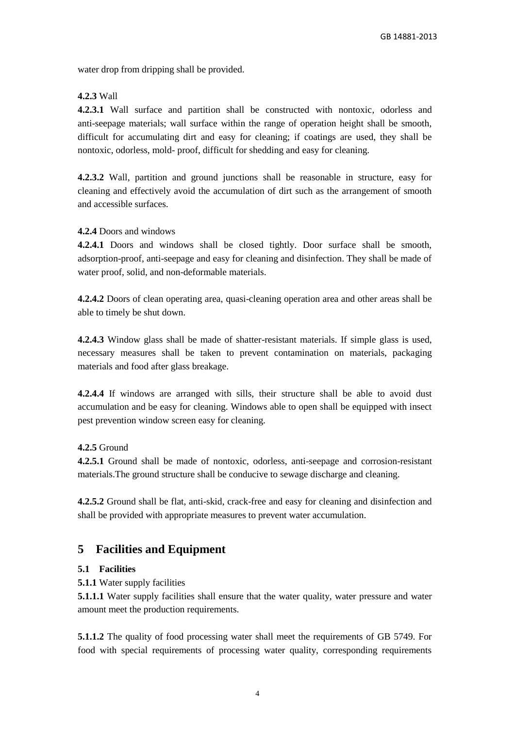water drop from dripping shall be provided.

## **4.2.3** Wall

**4.2.3.1** Wall surface and partition shall be constructed with nontoxic, odorless and anti-seepage materials; wall surface within the range of operation height shall be smooth, difficult for accumulating dirt and easy for cleaning; if coatings are used, they shall be nontoxic, odorless, mold- proof, difficult for shedding and easy for cleaning.

**4.2.3.2** Wall, partition and ground junctions shall be reasonable in structure, easy for cleaning and effectively avoid the accumulation of dirt such as the arrangement of smooth and accessible surfaces.

## **4.2.4** Doors and windows

**4.2.4.1** Doors and windows shall be closed tightly. Door surface shall be smooth, adsorption-proof, anti-seepage and easy for cleaning and disinfection. They shall be made of water proof, solid, and non-deformable materials.

**4.2.4.2** Doors of clean operating area, quasi-cleaning operation area and other areas shall be able to timely be shut down.

**4.2.4.3** Window glass shall be made of shatter-resistant materials. If simple glass is used, necessary measures shall be taken to prevent contamination on materials, packaging materials and food after glass breakage.

**4.2.4.4** If windows are arranged with sills, their structure shall be able to avoid dust accumulation and be easy for cleaning. Windows able to open shall be equipped with insect pest prevention window screen easy for cleaning.

## **4.2.5** Ground

**4.2.5.1** Ground shall be made of nontoxic, odorless, anti-seepage and corrosion-resistant materials.The ground structure shall be conducive to sewage discharge and cleaning.

**4.2.5.2** Ground shall be flat, anti-skid, crack-free and easy for cleaning and disinfection and shall be provided with appropriate measures to prevent water accumulation.

## **5 Facilities and Equipment**

## **5.1 Facilities**

**5.1.1** Water supply facilities

**5.1.1.1** Water supply facilities shall ensure that the water quality, water pressure and water amount meet the production requirements.

**5.1.1.2** The quality of food processing water shall meet the requirements of GB 5749. For food with special requirements of processing water quality, corresponding requirements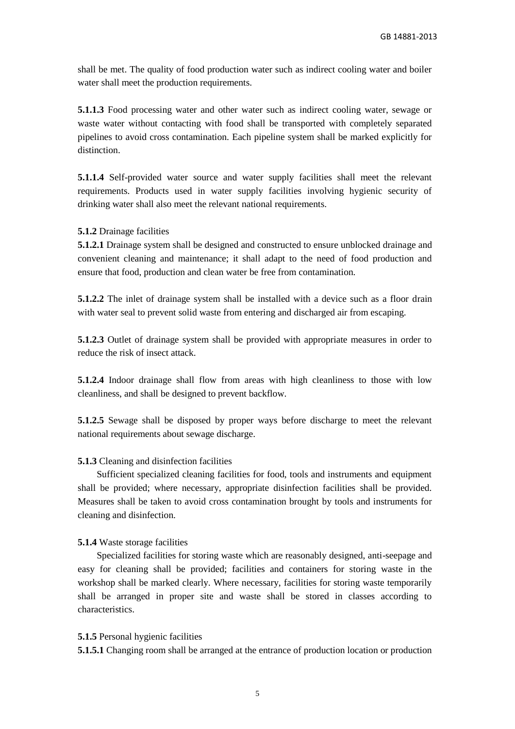shall be met. The quality of food production water such as indirect cooling water and boiler water shall meet the production requirements.

**5.1.1.3** Food processing water and other water such as indirect cooling water, sewage or waste water without contacting with food shall be transported with completely separated pipelines to avoid cross contamination. Each pipeline system shall be marked explicitly for distinction.

**5.1.1.4** Self-provided water source and water supply facilities shall meet the relevant requirements. Products used in water supply facilities involving hygienic security of drinking water shall also meet the relevant national requirements.

#### **5.1.2** Drainage facilities

**5.1.2.1** Drainage system shall be designed and constructed to ensure unblocked drainage and convenient cleaning and maintenance; it shall adapt to the need of food production and ensure that food, production and clean water be free from contamination.

**5.1.2.2** The inlet of drainage system shall be installed with a device such as a floor drain with water seal to prevent solid waste from entering and discharged air from escaping.

**5.1.2.3** Outlet of drainage system shall be provided with appropriate measures in order to reduce the risk of insect attack.

**5.1.2.4** Indoor drainage shall flow from areas with high cleanliness to those with low cleanliness, and shall be designed to prevent backflow.

**5.1.2.5** Sewage shall be disposed by proper ways before discharge to meet the relevant national requirements about sewage discharge.

#### **5.1.3** Cleaning and disinfection facilities

Sufficient specialized cleaning facilities for food, tools and instruments and equipment shall be provided; where necessary, appropriate disinfection facilities shall be provided. Measures shall be taken to avoid cross contamination brought by tools and instruments for cleaning and disinfection.

#### **5.1.4** Waste storage facilities

Specialized facilities for storing waste which are reasonably designed, anti-seepage and easy for cleaning shall be provided; facilities and containers for storing waste in the workshop shall be marked clearly. Where necessary, facilities for storing waste temporarily shall be arranged in proper site and waste shall be stored in classes according to characteristics.

#### **5.1.5** Personal hygienic facilities

**5.1.5.1** Changing room shall be arranged at the entrance of production location or production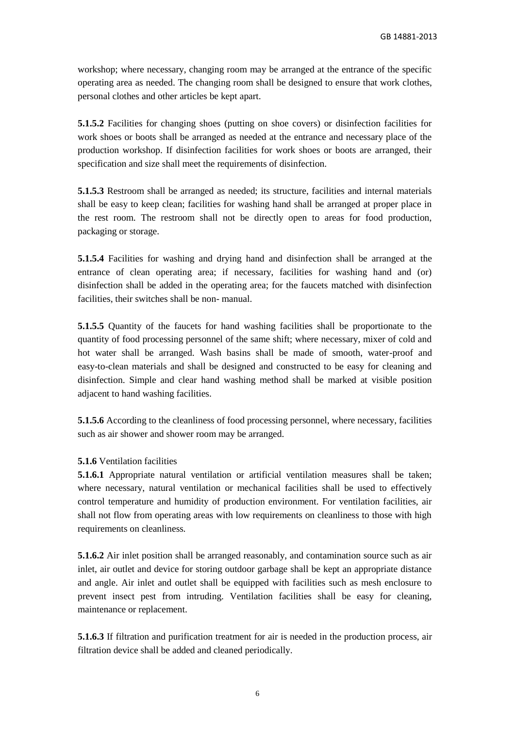workshop; where necessary, changing room may be arranged at the entrance of the specific operating area as needed. The changing room shall be designed to ensure that work clothes, personal clothes and other articles be kept apart.

**5.1.5.2** Facilities for changing shoes (putting on shoe covers) or disinfection facilities for work shoes or boots shall be arranged as needed at the entrance and necessary place of the production workshop. If disinfection facilities for work shoes or boots are arranged, their specification and size shall meet the requirements of disinfection.

**5.1.5.3** Restroom shall be arranged as needed; its structure, facilities and internal materials shall be easy to keep clean; facilities for washing hand shall be arranged at proper place in the rest room. The restroom shall not be directly open to areas for food production, packaging or storage.

**5.1.5.4** Facilities for washing and drying hand and disinfection shall be arranged at the entrance of clean operating area; if necessary, facilities for washing hand and (or) disinfection shall be added in the operating area; for the faucets matched with disinfection facilities, their switches shall be non- manual.

**5.1.5.5** Quantity of the faucets for hand washing facilities shall be proportionate to the quantity of food processing personnel of the same shift; where necessary, mixer of cold and hot water shall be arranged. Wash basins shall be made of smooth, water-proof and easy-to-clean materials and shall be designed and constructed to be easy for cleaning and disinfection. Simple and clear hand washing method shall be marked at visible position adjacent to hand washing facilities.

**5.1.5.6** According to the cleanliness of food processing personnel, where necessary, facilities such as air shower and shower room may be arranged.

## **5.1.6** Ventilation facilities

**5.1.6.1** Appropriate natural ventilation or artificial ventilation measures shall be taken; where necessary, natural ventilation or mechanical facilities shall be used to effectively control temperature and humidity of production environment. For ventilation facilities, air shall not flow from operating areas with low requirements on cleanliness to those with high requirements on cleanliness.

**5.1.6.2** Air inlet position shall be arranged reasonably, and contamination source such as air inlet, air outlet and device for storing outdoor garbage shall be kept an appropriate distance and angle. Air inlet and outlet shall be equipped with facilities such as mesh enclosure to prevent insect pest from intruding. Ventilation facilities shall be easy for cleaning, maintenance or replacement.

**5.1.6.3** If filtration and purification treatment for air is needed in the production process, air filtration device shall be added and cleaned periodically.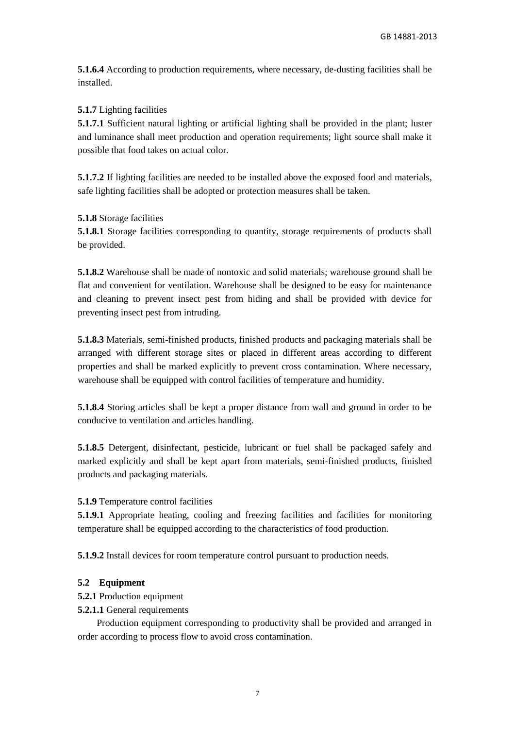**5.1.6.4** According to production requirements, where necessary, de-dusting facilities shall be installed.

## **5.1.7** Lighting facilities

**5.1.7.1** Sufficient natural lighting or artificial lighting shall be provided in the plant; luster and luminance shall meet production and operation requirements; light source shall make it possible that food takes on actual color.

**5.1.7.2** If lighting facilities are needed to be installed above the exposed food and materials, safe lighting facilities shall be adopted or protection measures shall be taken.

## **5.1.8** Storage facilities

**5.1.8.1** Storage facilities corresponding to quantity, storage requirements of products shall be provided.

**5.1.8.2** Warehouse shall be made of nontoxic and solid materials; warehouse ground shall be flat and convenient for ventilation. Warehouse shall be designed to be easy for maintenance and cleaning to prevent insect pest from hiding and shall be provided with device for preventing insect pest from intruding.

**5.1.8.3** Materials, semi-finished products, finished products and packaging materials shall be arranged with different storage sites or placed in different areas according to different properties and shall be marked explicitly to prevent cross contamination. Where necessary, warehouse shall be equipped with control facilities of temperature and humidity.

**5.1.8.4** Storing articles shall be kept a proper distance from wall and ground in order to be conducive to ventilation and articles handling.

**5.1.8.5** Detergent, disinfectant, pesticide, lubricant or fuel shall be packaged safely and marked explicitly and shall be kept apart from materials, semi-finished products, finished products and packaging materials.

**5.1.9** Temperature control facilities

**5.1.9.1** Appropriate heating, cooling and freezing facilities and facilities for monitoring temperature shall be equipped according to the characteristics of food production.

**5.1.9.2** Install devices for room temperature control pursuant to production needs.

## **5.2 Equipment**

- **5.2.1** Production equipment
- **5.2.1.1** General requirements

Production equipment corresponding to productivity shall be provided and arranged in order according to process flow to avoid cross contamination.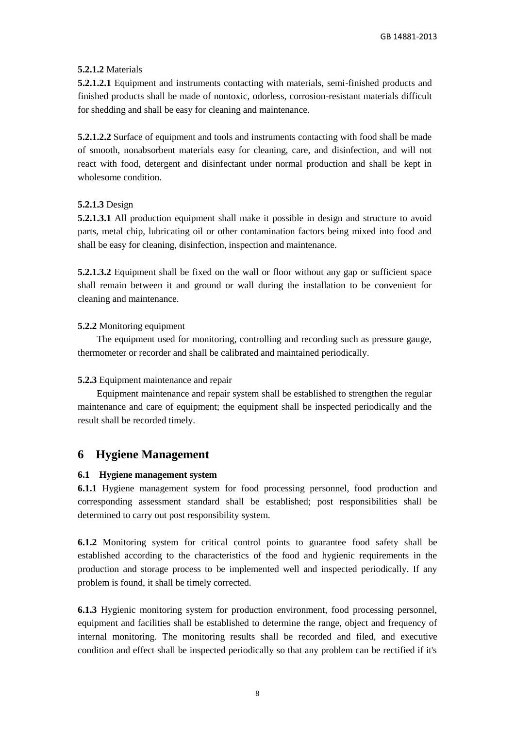## **5.2.1.2** Materials

**5.2.1.2.1** Equipment and instruments contacting with materials, semi-finished products and finished products shall be made of nontoxic, odorless, corrosion-resistant materials difficult for shedding and shall be easy for cleaning and maintenance.

**5.2.1.2.2** Surface of equipment and tools and instruments contacting with food shall be made of smooth, nonabsorbent materials easy for cleaning, care, and disinfection, and will not react with food, detergent and disinfectant under normal production and shall be kept in wholesome condition.

## **5.2.1.3** Design

**5.2.1.3.1** All production equipment shall make it possible in design and structure to avoid parts, metal chip, lubricating oil or other contamination factors being mixed into food and shall be easy for cleaning, disinfection, inspection and maintenance.

**5.2.1.3.2** Equipment shall be fixed on the wall or floor without any gap or sufficient space shall remain between it and ground or wall during the installation to be convenient for cleaning and maintenance.

## **5.2.2** Monitoring equipment

The equipment used for monitoring, controlling and recording such as pressure gauge, thermometer or recorder and shall be calibrated and maintained periodically.

## **5.2.3** Equipment maintenance and repair

Equipment maintenance and repair system shall be established to strengthen the regular maintenance and care of equipment; the equipment shall be inspected periodically and the result shall be recorded timely.

## **6 Hygiene Management**

## **6.1 Hygiene management system**

**6.1.1** Hygiene management system for food processing personnel, food production and corresponding assessment standard shall be established; post responsibilities shall be determined to carry out post responsibility system.

**6.1.2** Monitoring system for critical control points to guarantee food safety shall be established according to the characteristics of the food and hygienic requirements in the production and storage process to be implemented well and inspected periodically. If any problem is found, it shall be timely corrected.

**6.1.3** Hygienic monitoring system for production environment, food processing personnel, equipment and facilities shall be established to determine the range, object and frequency of internal monitoring. The monitoring results shall be recorded and filed, and executive condition and effect shall be inspected periodically so that any problem can be rectified if it's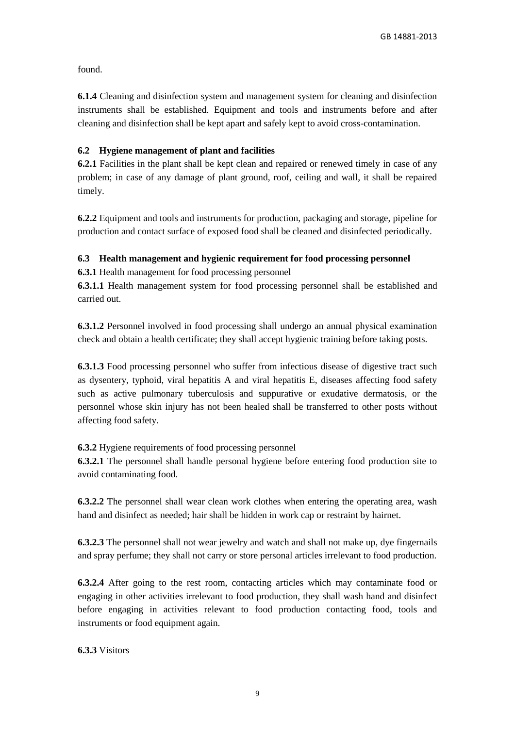found.

**6.1.4** Cleaning and disinfection system and management system for cleaning and disinfection instruments shall be established. Equipment and tools and instruments before and after cleaning and disinfection shall be kept apart and safely kept to avoid cross-contamination.

## **6.2 Hygiene management of plant and facilities**

**6.2.1** Facilities in the plant shall be kept clean and repaired or renewed timely in case of any problem; in case of any damage of plant ground, roof, ceiling and wall, it shall be repaired timely.

**6.2.2** Equipment and tools and instruments for production, packaging and storage, pipeline for production and contact surface of exposed food shall be cleaned and disinfected periodically.

## **6.3 Health management and hygienic requirement for food processing personnel**

**6.3.1** Health management for food processing personnel

**6.3.1.1** Health management system for food processing personnel shall be established and carried out.

**6.3.1.2** Personnel involved in food processing shall undergo an annual physical examination check and obtain a health certificate; they shall accept hygienic training before taking posts.

**6.3.1.3** Food processing personnel who suffer from infectious disease of digestive tract such as dysentery, typhoid, viral hepatitis A and viral hepatitis E, diseases affecting food safety such as active pulmonary tuberculosis and suppurative or exudative dermatosis, or the personnel whose skin injury has not been healed shall be transferred to other posts without affecting food safety.

## **6.3.2** Hygiene requirements of food processing personnel

**6.3.2.1** The personnel shall handle personal hygiene before entering food production site to avoid contaminating food.

**6.3.2.2** The personnel shall wear clean work clothes when entering the operating area, wash hand and disinfect as needed; hair shall be hidden in work cap or restraint by hairnet.

**6.3.2.3** The personnel shall not wear jewelry and watch and shall not make up, dye fingernails and spray perfume; they shall not carry or store personal articles irrelevant to food production.

**6.3.2.4** After going to the rest room, contacting articles which may contaminate food or engaging in other activities irrelevant to food production, they shall wash hand and disinfect before engaging in activities relevant to food production contacting food, tools and instruments or food equipment again.

**6.3.3** Visitors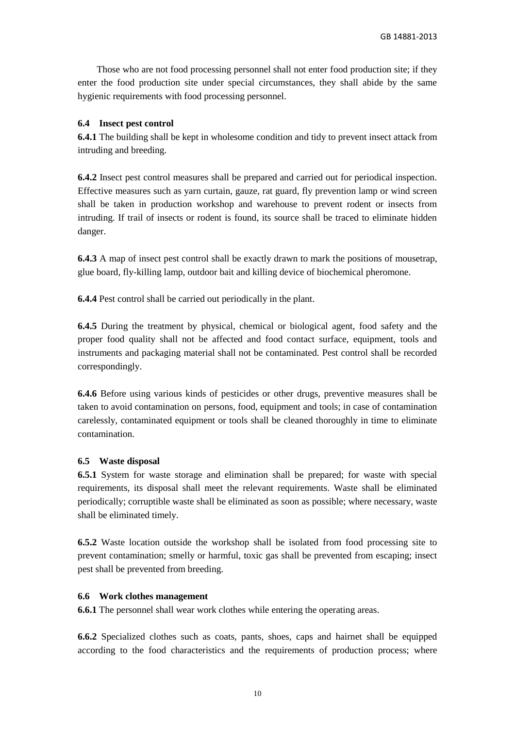Those who are not food processing personnel shall not enter food production site; if they enter the food production site under special circumstances, they shall abide by the same hygienic requirements with food processing personnel.

## **6.4 Insect pest control**

**6.4.1** The building shall be kept in wholesome condition and tidy to prevent insect attack from intruding and breeding.

**6.4.2** Insect pest control measures shall be prepared and carried out for periodical inspection. Effective measures such as yarn curtain, gauze, rat guard, fly prevention lamp or wind screen shall be taken in production workshop and warehouse to prevent rodent or insects from intruding. If trail of insects or rodent is found, its source shall be traced to eliminate hidden danger.

**6.4.3** A map of insect pest control shall be exactly drawn to mark the positions of mousetrap, glue board, fly-killing lamp, outdoor bait and killing device of biochemical pheromone.

**6.4.4** Pest control shall be carried out periodically in the plant.

**6.4.5** During the treatment by physical, chemical or biological agent, food safety and the proper food quality shall not be affected and food contact surface, equipment, tools and instruments and packaging material shall not be contaminated. Pest control shall be recorded correspondingly.

**6.4.6** Before using various kinds of pesticides or other drugs, preventive measures shall be taken to avoid contamination on persons, food, equipment and tools; in case of contamination carelessly, contaminated equipment or tools shall be cleaned thoroughly in time to eliminate contamination.

## **6.5 Waste disposal**

**6.5.1** System for waste storage and elimination shall be prepared; for waste with special requirements, its disposal shall meet the relevant requirements. Waste shall be eliminated periodically; corruptible waste shall be eliminated as soon as possible; where necessary, waste shall be eliminated timely.

**6.5.2** Waste location outside the workshop shall be isolated from food processing site to prevent contamination; smelly or harmful, toxic gas shall be prevented from escaping; insect pest shall be prevented from breeding.

## **6.6 Work clothes management**

**6.6.1** The personnel shall wear work clothes while entering the operating areas.

**6.6.2** Specialized clothes such as coats, pants, shoes, caps and hairnet shall be equipped according to the food characteristics and the requirements of production process; where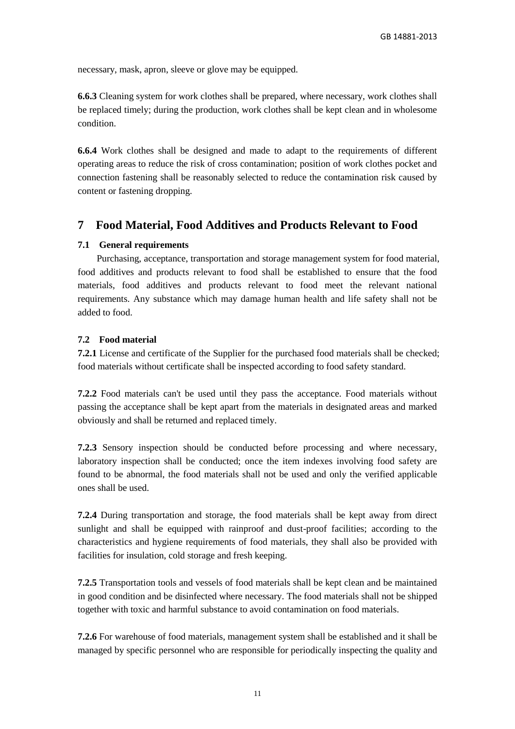necessary, mask, apron, sleeve or glove may be equipped.

**6.6.3** Cleaning system for work clothes shall be prepared, where necessary, work clothes shall be replaced timely; during the production, work clothes shall be kept clean and in wholesome condition.

**6.6.4** Work clothes shall be designed and made to adapt to the requirements of different operating areas to reduce the risk of cross contamination; position of work clothes pocket and connection fastening shall be reasonably selected to reduce the contamination risk caused by content or fastening dropping.

## **7 Food Material, Food Additives and Products Relevant to Food**

## **7.1 General requirements**

Purchasing, acceptance, transportation and storage management system for food material, food additives and products relevant to food shall be established to ensure that the food materials, food additives and products relevant to food meet the relevant national requirements. Any substance which may damage human health and life safety shall not be added to food.

## **7.2 Food material**

**7.2.1** License and certificate of the Supplier for the purchased food materials shall be checked; food materials without certificate shall be inspected according to food safety standard.

**7.2.2** Food materials can't be used until they pass the acceptance. Food materials without passing the acceptance shall be kept apart from the materials in designated areas and marked obviously and shall be returned and replaced timely.

**7.2.3** Sensory inspection should be conducted before processing and where necessary, laboratory inspection shall be conducted; once the item indexes involving food safety are found to be abnormal, the food materials shall not be used and only the verified applicable ones shall be used.

**7.2.4** During transportation and storage, the food materials shall be kept away from direct sunlight and shall be equipped with rainproof and dust-proof facilities; according to the characteristics and hygiene requirements of food materials, they shall also be provided with facilities for insulation, cold storage and fresh keeping.

**7.2.5** Transportation tools and vessels of food materials shall be kept clean and be maintained in good condition and be disinfected where necessary. The food materials shall not be shipped together with toxic and harmful substance to avoid contamination on food materials.

**7.2.6** For warehouse of food materials, management system shall be established and it shall be managed by specific personnel who are responsible for periodically inspecting the quality and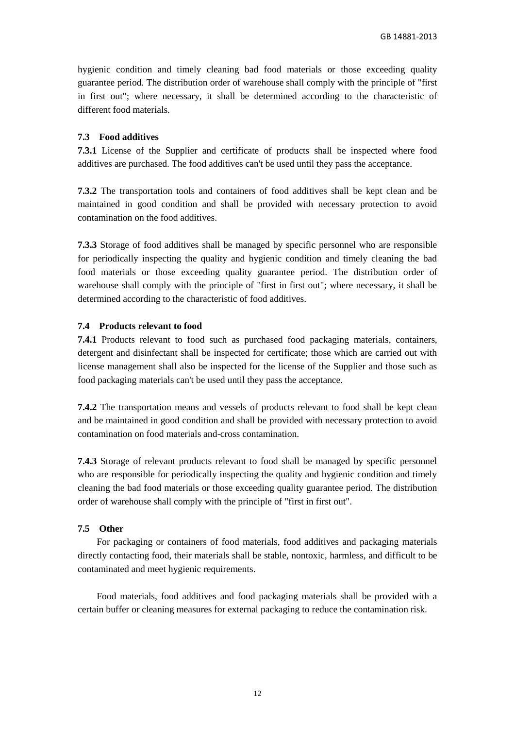hygienic condition and timely cleaning bad food materials or those exceeding quality guarantee period. The distribution order of warehouse shall comply with the principle of "first in first out"; where necessary, it shall be determined according to the characteristic of different food materials.

## **7.3 Food additives**

**7.3.1** License of the Supplier and certificate of products shall be inspected where food additives are purchased. The food additives can't be used until they pass the acceptance.

**7.3.2** The transportation tools and containers of food additives shall be kept clean and be maintained in good condition and shall be provided with necessary protection to avoid contamination on the food additives.

**7.3.3** Storage of food additives shall be managed by specific personnel who are responsible for periodically inspecting the quality and hygienic condition and timely cleaning the bad food materials or those exceeding quality guarantee period. The distribution order of warehouse shall comply with the principle of "first in first out"; where necessary, it shall be determined according to the characteristic of food additives.

## **7.4 Products relevant to food**

**7.4.1** Products relevant to food such as purchased food packaging materials, containers, detergent and disinfectant shall be inspected for certificate; those which are carried out with license management shall also be inspected for the license of the Supplier and those such as food packaging materials can't be used until they pass the acceptance.

**7.4.2** The transportation means and vessels of products relevant to food shall be kept clean and be maintained in good condition and shall be provided with necessary protection to avoid contamination on food materials and-cross contamination.

**7.4.3** Storage of relevant products relevant to food shall be managed by specific personnel who are responsible for periodically inspecting the quality and hygienic condition and timely cleaning the bad food materials or those exceeding quality guarantee period. The distribution order of warehouse shall comply with the principle of "first in first out".

## **7.5 Other**

For packaging or containers of food materials, food additives and packaging materials directly contacting food, their materials shall be stable, nontoxic, harmless, and difficult to be contaminated and meet hygienic requirements.

Food materials, food additives and food packaging materials shall be provided with a certain buffer or cleaning measures for external packaging to reduce the contamination risk.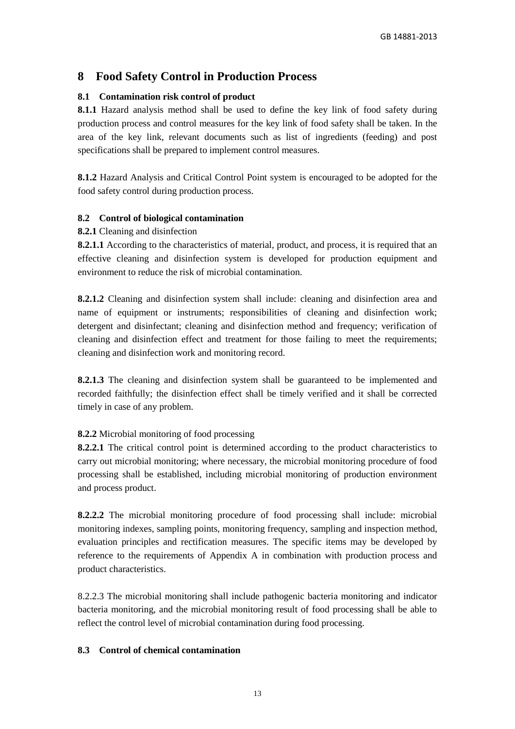## **8 Food Safety Control in Production Process**

## **8.1 Contamination risk control of product**

**8.1.1** Hazard analysis method shall be used to define the key link of food safety during production process and control measures for the key link of food safety shall be taken. In the area of the key link, relevant documents such as list of ingredients (feeding) and post specifications shall be prepared to implement control measures.

**8.1.2** Hazard Analysis and Critical Control Point system is encouraged to be adopted for the food safety control during production process.

## **8.2 Control of biological contamination**

## **8.2.1** Cleaning and disinfection

**8.2.1.1** According to the characteristics of material, product, and process, it is required that an effective cleaning and disinfection system is developed for production equipment and environment to reduce the risk of microbial contamination.

**8.2.1.2** Cleaning and disinfection system shall include: cleaning and disinfection area and name of equipment or instruments; responsibilities of cleaning and disinfection work; detergent and disinfectant; cleaning and disinfection method and frequency; verification of cleaning and disinfection effect and treatment for those failing to meet the requirements; cleaning and disinfection work and monitoring record.

**8.2.1.3** The cleaning and disinfection system shall be guaranteed to be implemented and recorded faithfully; the disinfection effect shall be timely verified and it shall be corrected timely in case of any problem.

## **8.2.2** Microbial monitoring of food processing

**8.2.2.1** The critical control point is determined according to the product characteristics to carry out microbial monitoring; where necessary, the microbial monitoring procedure of food processing shall be established, including microbial monitoring of production environment and process product.

**8.2.2.2** The microbial monitoring procedure of food processing shall include: microbial monitoring indexes, sampling points, monitoring frequency, sampling and inspection method, evaluation principles and rectification measures. The specific items may be developed by reference to the requirements of Appendix A in combination with production process and product characteristics.

8.2.2.3 The microbial monitoring shall include pathogenic bacteria monitoring and indicator bacteria monitoring, and the microbial monitoring result of food processing shall be able to reflect the control level of microbial contamination during food processing.

## **8.3 Control of chemical contamination**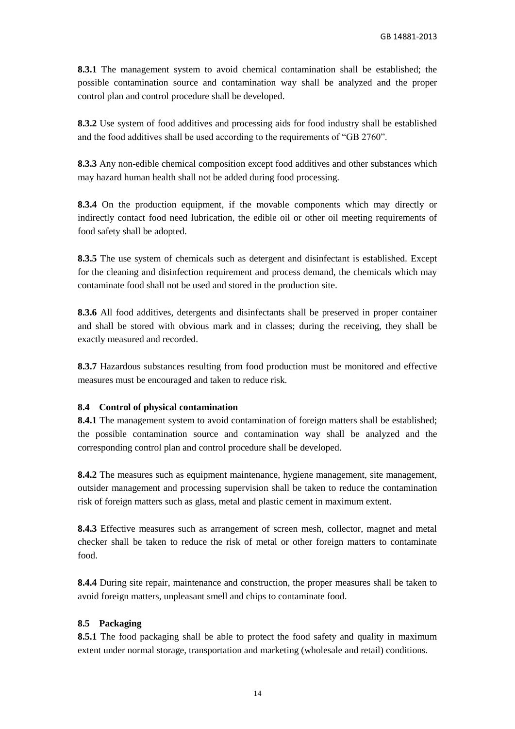**8.3.1** The management system to avoid chemical contamination shall be established; the possible contamination source and contamination way shall be analyzed and the proper control plan and control procedure shall be developed.

**8.3.2** Use system of food additives and processing aids for food industry shall be established and the food additives shall be used according to the requirements of "GB 2760".

**8.3.3** Any non-edible chemical composition except food additives and other substances which may hazard human health shall not be added during food processing.

**8.3.4** On the production equipment, if the movable components which may directly or indirectly contact food need lubrication, the edible oil or other oil meeting requirements of food safety shall be adopted.

**8.3.5** The use system of chemicals such as detergent and disinfectant is established. Except for the cleaning and disinfection requirement and process demand, the chemicals which may contaminate food shall not be used and stored in the production site.

**8.3.6** All food additives, detergents and disinfectants shall be preserved in proper container and shall be stored with obvious mark and in classes; during the receiving, they shall be exactly measured and recorded.

**8.3.7** Hazardous substances resulting from food production must be monitored and effective measures must be encouraged and taken to reduce risk.

## **8.4 Control of physical contamination**

8.4.1 The management system to avoid contamination of foreign matters shall be established; the possible contamination source and contamination way shall be analyzed and the corresponding control plan and control procedure shall be developed.

**8.4.2** The measures such as equipment maintenance, hygiene management, site management, outsider management and processing supervision shall be taken to reduce the contamination risk of foreign matters such as glass, metal and plastic cement in maximum extent.

**8.4.3** Effective measures such as arrangement of screen mesh, collector, magnet and metal checker shall be taken to reduce the risk of metal or other foreign matters to contaminate food.

**8.4.4** During site repair, maintenance and construction, the proper measures shall be taken to avoid foreign matters, unpleasant smell and chips to contaminate food.

## **8.5 Packaging**

**8.5.1** The food packaging shall be able to protect the food safety and quality in maximum extent under normal storage, transportation and marketing (wholesale and retail) conditions.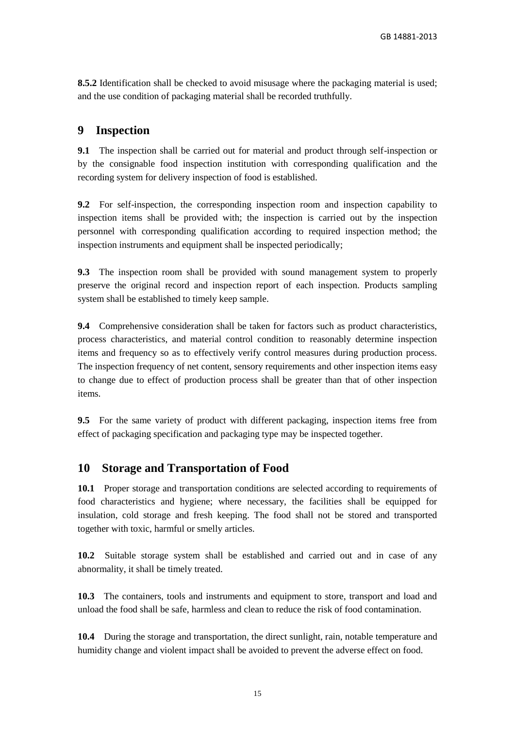**8.5.2** Identification shall be checked to avoid misusage where the packaging material is used; and the use condition of packaging material shall be recorded truthfully.

## **9 Inspection**

**9.1** The inspection shall be carried out for material and product through self-inspection or by the consignable food inspection institution with corresponding qualification and the recording system for delivery inspection of food is established.

**9.2** For self-inspection, the corresponding inspection room and inspection capability to inspection items shall be provided with; the inspection is carried out by the inspection personnel with corresponding qualification according to required inspection method; the inspection instruments and equipment shall be inspected periodically;

**9.3** The inspection room shall be provided with sound management system to properly preserve the original record and inspection report of each inspection. Products sampling system shall be established to timely keep sample.

**9.4** Comprehensive consideration shall be taken for factors such as product characteristics, process characteristics, and material control condition to reasonably determine inspection items and frequency so as to effectively verify control measures during production process. The inspection frequency of net content, sensory requirements and other inspection items easy to change due to effect of production process shall be greater than that of other inspection items.

**9.5** For the same variety of product with different packaging, inspection items free from effect of packaging specification and packaging type may be inspected together.

## **10 Storage and Transportation of Food**

**10.1** Proper storage and transportation conditions are selected according to requirements of food characteristics and hygiene; where necessary, the facilities shall be equipped for insulation, cold storage and fresh keeping. The food shall not be stored and transported together with toxic, harmful or smelly articles.

**10.2** Suitable storage system shall be established and carried out and in case of any abnormality, it shall be timely treated.

**10.3** The containers, tools and instruments and equipment to store, transport and load and unload the food shall be safe, harmless and clean to reduce the risk of food contamination.

**10.4** During the storage and transportation, the direct sunlight, rain, notable temperature and humidity change and violent impact shall be avoided to prevent the adverse effect on food.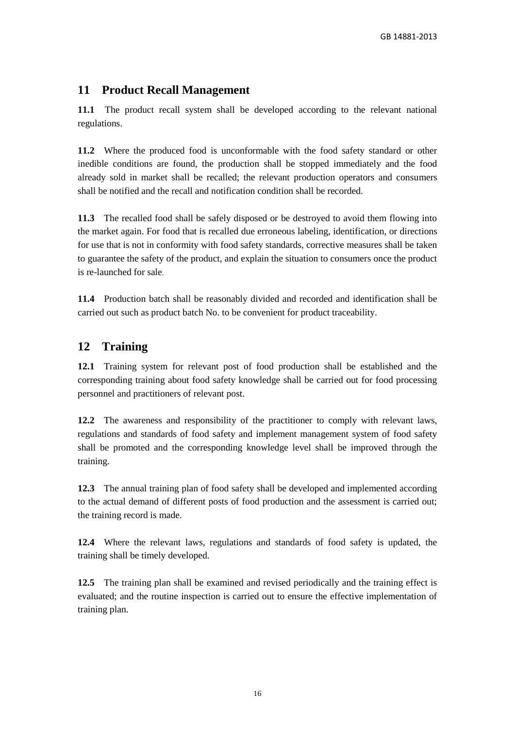## **11 Product Recall Management**

**11.1** The product recall system shall be developed according to the relevant national regulations.

**11.2** Where the produced food is unconformable with the food safety standard or other inedible conditions are found, the production shall be stopped immediately and the food already sold in market shall be recalled; the relevant production operators and consumers shall be notified and the recall and notification condition shall be recorded.

**11.3** The recalled food shall be safely disposed or be destroyed to avoid them flowing into the market again. For food that is recalled due erroneous labeling, identification, or directions for use that is not in conformity with food safety standards, corrective measures shall be taken to guarantee the safety of the product, and explain the situation to consumers once the product is re-launched for sale.

**11.4** Production batch shall be reasonably divided and recorded and identification shall be carried out such as product batch No. to be convenient for product traceability.

## **12 Training**

**12.1** Training system for relevant post of food production shall be established and the corresponding training about food safety knowledge shall be carried out for food processing personnel and practitioners of relevant post.

**12.2** The awareness and responsibility of the practitioner to comply with relevant laws, regulations and standards of food safety and implement management system of food safety shall be promoted and the corresponding knowledge level shall be improved through the training.

**12.3** The annual training plan of food safety shall be developed and implemented according to the actual demand of different posts of food production and the assessment is carried out; the training record is made.

**12.4** Where the relevant laws, regulations and standards of food safety is updated, the training shall be timely developed.

**12.5** The training plan shall be examined and revised periodically and the training effect is evaluated; and the routine inspection is carried out to ensure the effective implementation of training plan.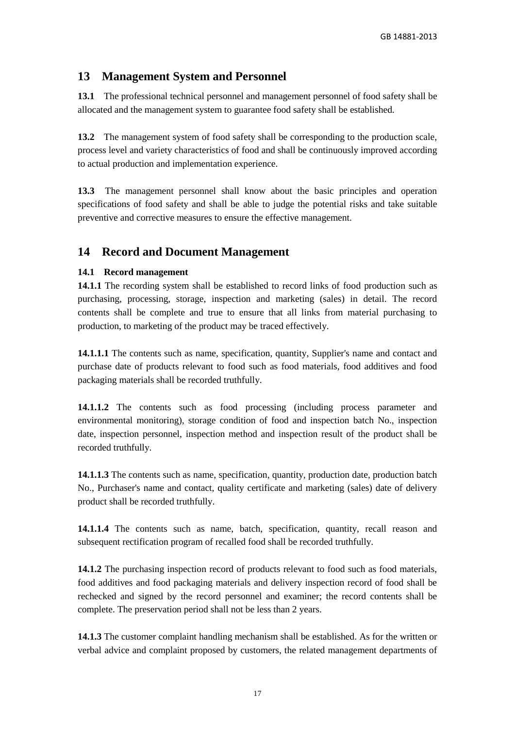## **13 Management System and Personnel**

**13.1** The professional technical personnel and management personnel of food safety shall be allocated and the management system to guarantee food safety shall be established.

**13.2** The management system of food safety shall be corresponding to the production scale, process level and variety characteristics of food and shall be continuously improved according to actual production and implementation experience.

**13.3** The management personnel shall know about the basic principles and operation specifications of food safety and shall be able to judge the potential risks and take suitable preventive and corrective measures to ensure the effective management.

## **14 Record and Document Management**

## **14.1 Record management**

**14.1.1** The recording system shall be established to record links of food production such as purchasing, processing, storage, inspection and marketing (sales) in detail. The record contents shall be complete and true to ensure that all links from material purchasing to production, to marketing of the product may be traced effectively.

**14.1.1.1** The contents such as name, specification, quantity, Supplier's name and contact and purchase date of products relevant to food such as food materials, food additives and food packaging materials shall be recorded truthfully.

**14.1.1.2** The contents such as food processing (including process parameter and environmental monitoring), storage condition of food and inspection batch No., inspection date, inspection personnel, inspection method and inspection result of the product shall be recorded truthfully.

**14.1.1.3** The contents such as name, specification, quantity, production date, production batch No., Purchaser's name and contact, quality certificate and marketing (sales) date of delivery product shall be recorded truthfully.

14.1.1.4 The contents such as name, batch, specification, quantity, recall reason and subsequent rectification program of recalled food shall be recorded truthfully.

**14.1.2** The purchasing inspection record of products relevant to food such as food materials, food additives and food packaging materials and delivery inspection record of food shall be rechecked and signed by the record personnel and examiner; the record contents shall be complete. The preservation period shall not be less than 2 years.

**14.1.3** The customer complaint handling mechanism shall be established. As for the written or verbal advice and complaint proposed by customers, the related management departments of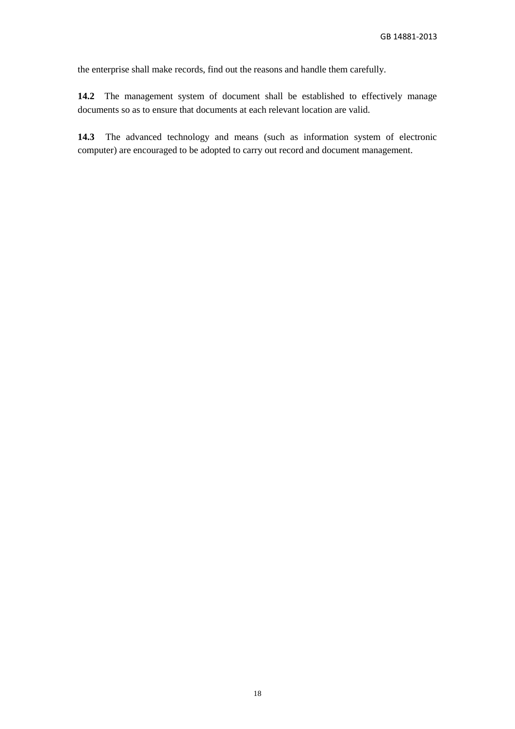the enterprise shall make records, find out the reasons and handle them carefully.

**14.2** The management system of document shall be established to effectively manage documents so as to ensure that documents at each relevant location are valid.

**14.3** The advanced technology and means (such as information system of electronic computer) are encouraged to be adopted to carry out record and document management.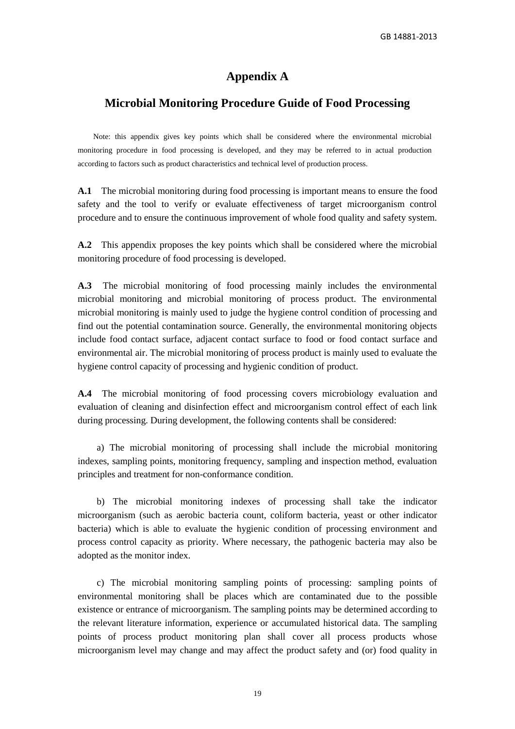GB 14881-2013

## **Appendix A**

## **Microbial Monitoring Procedure Guide of Food Processing**

Note: this appendix gives key points which shall be considered where the environmental microbial monitoring procedure in food processing is developed, and they may be referred to in actual production according to factors such as product characteristics and technical level of production process.

**A.1** The microbial monitoring during food processing is important means to ensure the food safety and the tool to verify or evaluate effectiveness of target microorganism control procedure and to ensure the continuous improvement of whole food quality and safety system.

**A.2** This appendix proposes the key points which shall be considered where the microbial monitoring procedure of food processing is developed.

**A.3** The microbial monitoring of food processing mainly includes the environmental microbial monitoring and microbial monitoring of process product. The environmental microbial monitoring is mainly used to judge the hygiene control condition of processing and find out the potential contamination source. Generally, the environmental monitoring objects include food contact surface, adjacent contact surface to food or food contact surface and environmental air. The microbial monitoring of process product is mainly used to evaluate the hygiene control capacity of processing and hygienic condition of product.

**A.4** The microbial monitoring of food processing covers microbiology evaluation and evaluation of cleaning and disinfection effect and microorganism control effect of each link during processing. During development, the following contents shall be considered:

a) The microbial monitoring of processing shall include the microbial monitoring indexes, sampling points, monitoring frequency, sampling and inspection method, evaluation principles and treatment for non-conformance condition.

b) The microbial monitoring indexes of processing shall take the indicator microorganism (such as aerobic bacteria count, coliform bacteria, yeast or other indicator bacteria) which is able to evaluate the hygienic condition of processing environment and process control capacity as priority. Where necessary, the pathogenic bacteria may also be adopted as the monitor index.

c) The microbial monitoring sampling points of processing: sampling points of environmental monitoring shall be places which are contaminated due to the possible existence or entrance of microorganism. The sampling points may be determined according to the relevant literature information, experience or accumulated historical data. The sampling points of process product monitoring plan shall cover all process products whose microorganism level may change and may affect the product safety and (or) food quality in

19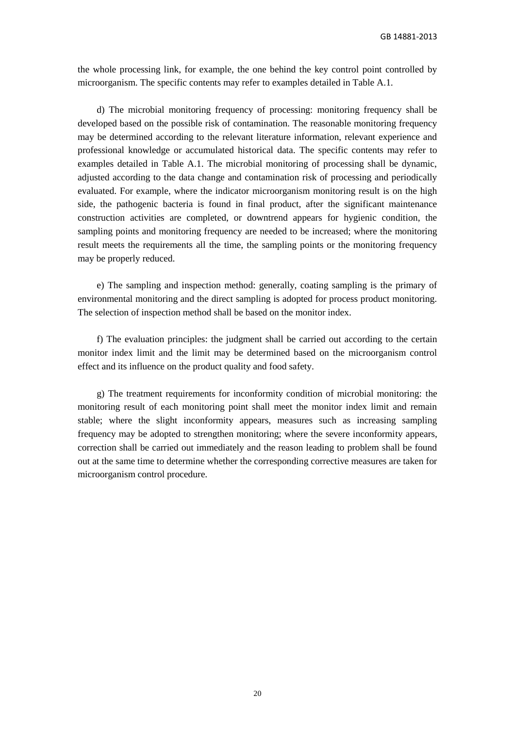the whole processing link, for example, the one behind the key control point controlled by microorganism. The specific contents may refer to examples detailed in Table A.1.

d) The microbial monitoring frequency of processing: monitoring frequency shall be developed based on the possible risk of contamination. The reasonable monitoring frequency may be determined according to the relevant literature information, relevant experience and professional knowledge or accumulated historical data. The specific contents may refer to examples detailed in Table A.1. The microbial monitoring of processing shall be dynamic, adjusted according to the data change and contamination risk of processing and periodically evaluated. For example, where the indicator microorganism monitoring result is on the high side, the pathogenic bacteria is found in final product, after the significant maintenance construction activities are completed, or downtrend appears for hygienic condition, the sampling points and monitoring frequency are needed to be increased; where the monitoring result meets the requirements all the time, the sampling points or the monitoring frequency may be properly reduced.

e) The sampling and inspection method: generally, coating sampling is the primary of environmental monitoring and the direct sampling is adopted for process product monitoring. The selection of inspection method shall be based on the monitor index.

f) The evaluation principles: the judgment shall be carried out according to the certain monitor index limit and the limit may be determined based on the microorganism control effect and its influence on the product quality and food safety.

g) The treatment requirements for inconformity condition of microbial monitoring: the monitoring result of each monitoring point shall meet the monitor index limit and remain stable; where the slight inconformity appears, measures such as increasing sampling frequency may be adopted to strengthen monitoring; where the severe inconformity appears, correction shall be carried out immediately and the reason leading to problem shall be found out at the same time to determine whether the corresponding corrective measures are taken for microorganism control procedure.